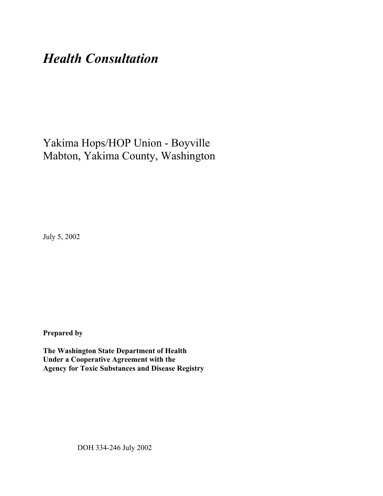# *Health Consultation*

Yakima Hops/HOP Union - Boyville Mabton, Yakima County, Washington

July 5, 2002

**Prepared by**

**The Washington State Department of Health Under a Cooperative Agreement with the Agency for Toxic Substances and Disease Registry**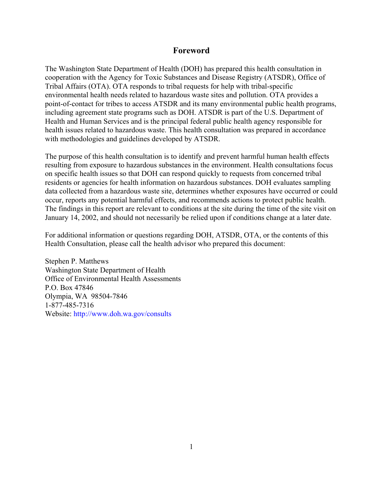#### **Foreword**

The Washington State Department of Health (DOH) has prepared this health consultation in cooperation with the Agency for Toxic Substances and Disease Registry (ATSDR), Office of Tribal Affairs (OTA). OTA responds to tribal requests for help with tribal-specific environmental health needs related to hazardous waste sites and pollution. OTA provides a point-of-contact for tribes to access ATSDR and its many environmental public health programs, including agreement state programs such as DOH. ATSDR is part of the U.S. Department of Health and Human Services and is the principal federal public health agency responsible for health issues related to hazardous waste. This health consultation was prepared in accordance with methodologies and guidelines developed by ATSDR.

The purpose of this health consultation is to identify and prevent harmful human health effects resulting from exposure to hazardous substances in the environment. Health consultations focus on specific health issues so that DOH can respond quickly to requests from concerned tribal residents or agencies for health information on hazardous substances. DOH evaluates sampling data collected from a hazardous waste site, determines whether exposures have occurred or could occur, reports any potential harmful effects, and recommends actions to protect public health. The findings in this report are relevant to conditions at the site during the time of the site visit on January 14, 2002, and should not necessarily be relied upon if conditions change at a later date.

For additional information or questions regarding DOH, ATSDR, OTA, or the contents of this Health Consultation, please call the health advisor who prepared this document:

Stephen P. Matthews Washington State Department of Health Office of Environmental Health Assessments P.O. Box 47846 Olympia, WA 98504-7846 1-877-485-7316 Website: [http://www.doh.wa.gov/](http://www.doh.wa.gov/consults)consults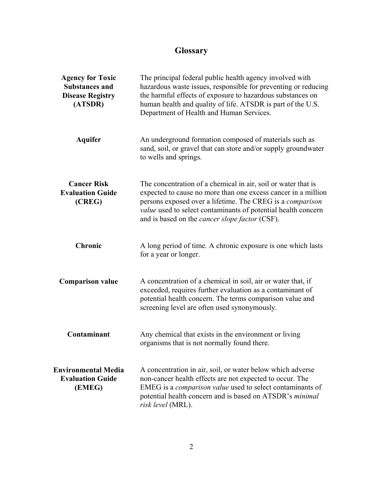## **Glossary**

| <b>Agency for Toxic</b><br><b>Substances and</b><br><b>Disease Registry</b><br>(ATSDR) | The principal federal public health agency involved with<br>hazardous waste issues, responsible for preventing or reducing<br>the harmful effects of exposure to hazardous substances on<br>human health and quality of life. ATSDR is part of the U.S.<br>Department of Health and Human Services.                                 |
|----------------------------------------------------------------------------------------|-------------------------------------------------------------------------------------------------------------------------------------------------------------------------------------------------------------------------------------------------------------------------------------------------------------------------------------|
| <b>Aquifer</b>                                                                         | An underground formation composed of materials such as<br>sand, soil, or gravel that can store and/or supply groundwater<br>to wells and springs.                                                                                                                                                                                   |
| <b>Cancer Risk</b><br><b>Evaluation Guide</b><br>(CREG)                                | The concentration of a chemical in air, soil or water that is<br>expected to cause no more than one excess cancer in a million<br>persons exposed over a lifetime. The CREG is a <i>comparison</i><br><i>value</i> used to select contaminants of potential health concern<br>and is based on the <i>cancer slope factor</i> (CSF). |
| <b>Chronic</b>                                                                         | A long period of time. A chronic exposure is one which lasts<br>for a year or longer.                                                                                                                                                                                                                                               |
| <b>Comparison value</b>                                                                | A concentration of a chemical in soil, air or water that, if<br>exceeded, requires further evaluation as a contaminant of<br>potential health concern. The terms comparison value and<br>screening level are often used synonymously.                                                                                               |
| Contaminant                                                                            | Any chemical that exists in the environment or living<br>organisms that is not normally found there.                                                                                                                                                                                                                                |
| <b>Environmental Media</b><br><b>Evaluation Guide</b><br>(EMEG)                        | A concentration in air, soil, or water below which adverse<br>non-cancer health effects are not expected to occur. The<br>EMEG is a comparison value used to select contaminants of<br>potential health concern and is based on ATSDR's minimal<br>risk level (MRL).                                                                |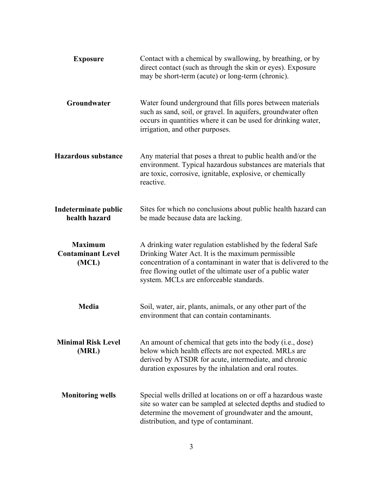| <b>Exposure</b>                                     | Contact with a chemical by swallowing, by breathing, or by<br>direct contact (such as through the skin or eyes). Exposure<br>may be short-term (acute) or long-term (chronic).                                                                                                                |  |  |
|-----------------------------------------------------|-----------------------------------------------------------------------------------------------------------------------------------------------------------------------------------------------------------------------------------------------------------------------------------------------|--|--|
| Groundwater                                         | Water found underground that fills pores between materials<br>such as sand, soil, or gravel. In aquifers, groundwater often<br>occurs in quantities where it can be used for drinking water,<br>irrigation, and other purposes.                                                               |  |  |
| <b>Hazardous substance</b>                          | Any material that poses a threat to public health and/or the<br>environment. Typical hazardous substances are materials that<br>are toxic, corrosive, ignitable, explosive, or chemically<br>reactive.                                                                                        |  |  |
| Indeterminate public<br>health hazard               | Sites for which no conclusions about public health hazard can<br>be made because data are lacking.                                                                                                                                                                                            |  |  |
| <b>Maximum</b><br><b>Contaminant Level</b><br>(MCL) | A drinking water regulation established by the federal Safe<br>Drinking Water Act. It is the maximum permissible<br>concentration of a contaminant in water that is delivered to the<br>free flowing outlet of the ultimate user of a public water<br>system. MCLs are enforceable standards. |  |  |
| Media                                               | Soil, water, air, plants, animals, or any other part of the<br>environment that can contain contaminants.                                                                                                                                                                                     |  |  |
| <b>Minimal Risk Level</b><br>(MRL)                  | An amount of chemical that gets into the body (i.e., dose)<br>below which health effects are not expected. MRLs are<br>derived by ATSDR for acute, intermediate, and chronic<br>duration exposures by the inhalation and oral routes.                                                         |  |  |
| <b>Monitoring wells</b>                             | Special wells drilled at locations on or off a hazardous waste<br>site so water can be sampled at selected depths and studied to<br>determine the movement of groundwater and the amount,<br>distribution, and type of contaminant.                                                           |  |  |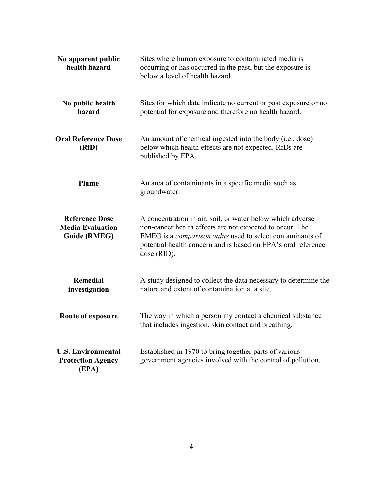| No apparent public<br>health hazard                                     | Sites where human exposure to contaminated media is<br>occurring or has occurred in the past, but the exposure is<br>below a level of health hazard.                                                                                                                       |  |  |
|-------------------------------------------------------------------------|----------------------------------------------------------------------------------------------------------------------------------------------------------------------------------------------------------------------------------------------------------------------------|--|--|
| No public health<br>hazard                                              | Sites for which data indicate no current or past exposure or no<br>potential for exposure and therefore no health hazard.                                                                                                                                                  |  |  |
| <b>Oral Reference Dose</b><br>(RfD)                                     | An amount of chemical ingested into the body (i.e., dose)<br>below which health effects are not expected. RfDs are<br>published by EPA.                                                                                                                                    |  |  |
| Plume                                                                   | An area of contaminants in a specific media such as<br>groundwater.                                                                                                                                                                                                        |  |  |
| <b>Reference Dose</b><br><b>Media Evaluation</b><br><b>Guide (RMEG)</b> | A concentration in air, soil, or water below which adverse<br>non-cancer health effects are not expected to occur. The<br>EMEG is a <i>comparison value</i> used to select contaminants of<br>potential health concern and is based on EPA's oral reference<br>dose (RfD). |  |  |
| <b>Remedial</b><br>investigation                                        | A study designed to collect the data necessary to determine the<br>nature and extent of contamination at a site.                                                                                                                                                           |  |  |
| Route of exposure                                                       | The way in which a person my contact a chemical substance<br>that includes ingestion, skin contact and breathing.                                                                                                                                                          |  |  |
| <b>U.S. Environmental</b><br><b>Protection Agency</b><br>(EPA)          | Established in 1970 to bring together parts of various<br>government agencies involved with the control of pollution.                                                                                                                                                      |  |  |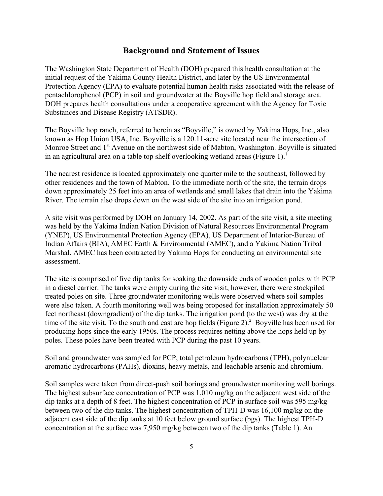#### **Background and Statement of Issues**

The Washington State Department of Health (DOH) prepared this health consultation at the initial request of the Yakima County Health District, and later by the US Environmental Protection Agency (EPA) to evaluate potential human health risks associated with the release of pentachlorophenol (PCP) in soil and groundwater at the Boyville hop field and storage area. DOH prepares health consultations under a cooperative agreement with the Agency for Toxic Substances and Disease Registry (ATSDR).

The Boyville hop ranch, referred to herein as "Boyville," is owned by Yakima Hops, Inc., also known as Hop Union USA, Inc. Boyville is a 120.11-acre site located near the intersection of Monroe Street and 1<sup>st</sup> Avenue on the northwest side of Mabton, Washington. Boyville is situated in an agricultural area on a table top shelf overlooking wetland areas (Figure 1).<sup>1</sup>

The nearest residence is located approximately one quarter mile to the southeast, followed by other residences and the town of Mabton. To the immediate north of the site, the terrain drops down approximately 25 feet into an area of wetlands and small lakes that drain into the Yakima River. The terrain also drops down on the west side of the site into an irrigation pond.

A site visit was performed by DOH on January 14, 2002. As part of the site visit, a site meeting was held by the Yakima Indian Nation Division of Natural Resources Environmental Program (YNEP), US Environmental Protection Agency (EPA), US Department of Interior-Bureau of Indian Affairs (BIA), AMEC Earth & Environmental (AMEC), and a Yakima Nation Tribal Marshal. AMEC has been contracted by Yakima Hops for conducting an environmental site assessment.

The site is comprised of five dip tanks for soaking the downside ends of wooden poles with PCP in a diesel carrier. The tanks were empty during the site visit, however, there were stockpiled treated poles on site. Three groundwater monitoring wells were observed where soil samples were also taken. A fourth monitoring well was being proposed for installation approximately 50 feet northeast (downgradient) of the dip tanks. The irrigation pond (to the west) was dry at the time of the site visit. To the south and east are hop fields (Figure  $2$ ).<sup>2</sup> Boyville has been used for producing hops since the early 1950s. The process requires netting above the hops held up by poles. These poles have been treated with PCP during the past 10 years.

Soil and groundwater was sampled for PCP, total petroleum hydrocarbons (TPH), polynuclear aromatic hydrocarbons (PAHs), dioxins, heavy metals, and leachable arsenic and chromium.

Soil samples were taken from direct-push soil borings and groundwater monitoring well borings. The highest subsurface concentration of PCP was 1,010 mg/kg on the adjacent west side of the dip tanks at a depth of 8 feet. The highest concentration of PCP in surface soil was 595 mg/kg between two of the dip tanks. The highest concentration of TPH-D was 16,100 mg/kg on the adjacent east side of the dip tanks at 10 feet below ground surface (bgs). The highest TPH-D concentration at the surface was 7,950 mg/kg between two of the dip tanks (Table 1). An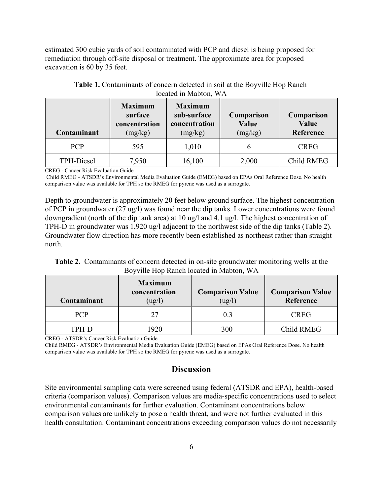estimated 300 cubic yards of soil contaminated with PCP and diesel is being proposed for remediation through off-site disposal or treatment. The approximate area for proposed excavation is 60 by 35 feet.

| Contaminant       | <b>Maximum</b><br>surface<br>concentration<br>(mg/kg) | <b>Maximum</b><br>sub-surface<br>concentration<br>(mg/kg) | Comparison<br>Value<br>(mg/kg) | Comparison<br>Value<br>Reference |
|-------------------|-------------------------------------------------------|-----------------------------------------------------------|--------------------------------|----------------------------------|
| <b>PCP</b>        | 595                                                   | 1,010                                                     | b                              | <b>CREG</b>                      |
| <b>TPH-Diesel</b> | 7,950                                                 | 16,100                                                    | 2,000                          | <b>Child RMEG</b>                |

| <b>Table 1.</b> Contaminants of concern detected in soil at the Boyville Hop Ranch |
|------------------------------------------------------------------------------------|
| located in Mabton, WA                                                              |

CREG - Cancer Risk Evaluation Guide

 Child RMEG - ATSDR's Environmental Media Evaluation Guide (EMEG) based on EPAs Oral Reference Dose. No health comparison value was available for TPH so the RMEG for pyrene was used as a surrogate.

Depth to groundwater is approximately 20 feet below ground surface. The highest concentration of PCP in groundwater (27 ug/l) was found near the dip tanks. Lower concentrations were found downgradient (north of the dip tank area) at 10 ug/l and 4.1 ug/l. The highest concentration of TPH-D in groundwater was 1,920 ug/l adjacent to the northwest side of the dip tanks (Table 2). Groundwater flow direction has more recently been established as northeast rather than straight north.

**Table 2.** Contaminants of concern detected in on-site groundwater monitoring wells at the Boyville Hop Ranch located in Mabton, WA

| Contaminant | <b>Maximum</b><br>concentration<br>(ug/l) | <b>Comparison Value</b><br>$\left(\frac{ug}{l}\right)$ | <b>Comparison Value</b><br>Reference |
|-------------|-------------------------------------------|--------------------------------------------------------|--------------------------------------|
| <b>PCP</b>  | 27                                        | 0 <sup>3</sup>                                         | <b>CREG</b>                          |
| TPH-D       | 1920                                      | 300                                                    | Child RMEG                           |

CREG - ATSDR's Cancer Risk Evaluation Guide

Child RMEG - ATSDR's Environmental Media Evaluation Guide (EMEG) based on EPAs Oral Reference Dose. No health comparison value was available for TPH so the RMEG for pyrene was used as a surrogate.

#### **Discussion**

Site environmental sampling data were screened using federal (ATSDR and EPA), health-based criteria (comparison values). Comparison values are media-specific concentrations used to select environmental contaminants for further evaluation. Contaminant concentrations below comparison values are unlikely to pose a health threat, and were not further evaluated in this health consultation. Contaminant concentrations exceeding comparison values do not necessarily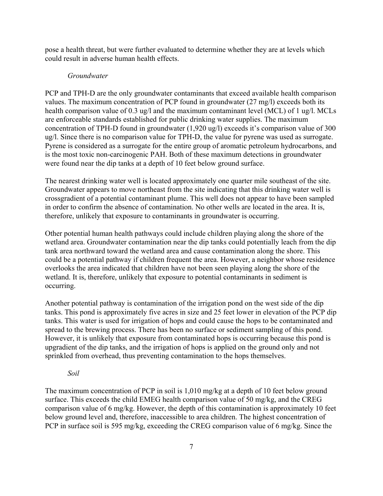pose a health threat, but were further evaluated to determine whether they are at levels which could result in adverse human health effects.

#### *Groundwater*

PCP and TPH-D are the only groundwater contaminants that exceed available health comparison values. The maximum concentration of PCP found in groundwater (27 mg/l) exceeds both its health comparison value of 0.3 ug/l and the maximum contaminant level (MCL) of 1 ug/l. MCLs are enforceable standards established for public drinking water supplies. The maximum concentration of TPH-D found in groundwater (1,920 ug/l) exceeds it's comparison value of 300 ug/l. Since there is no comparison value for TPH-D, the value for pyrene was used as surrogate. Pyrene is considered as a surrogate for the entire group of aromatic petroleum hydrocarbons, and is the most toxic non-carcinogenic PAH. Both of these maximum detections in groundwater were found near the dip tanks at a depth of 10 feet below ground surface.

The nearest drinking water well is located approximately one quarter mile southeast of the site. Groundwater appears to move northeast from the site indicating that this drinking water well is crossgradient of a potential contaminant plume. This well does not appear to have been sampled in order to confirm the absence of contamination. No other wells are located in the area. It is, therefore, unlikely that exposure to contaminants in groundwater is occurring.

Other potential human health pathways could include children playing along the shore of the wetland area. Groundwater contamination near the dip tanks could potentially leach from the dip tank area northward toward the wetland area and cause contamination along the shore. This could be a potential pathway if children frequent the area. However, a neighbor whose residence overlooks the area indicated that children have not been seen playing along the shore of the wetland. It is, therefore, unlikely that exposure to potential contaminants in sediment is occurring.

Another potential pathway is contamination of the irrigation pond on the west side of the dip tanks. This pond is approximately five acres in size and 25 feet lower in elevation of the PCP dip tanks. This water is used for irrigation of hops and could cause the hops to be contaminated and spread to the brewing process. There has been no surface or sediment sampling of this pond. However, it is unlikely that exposure from contaminated hops is occurring because this pond is upgradient of the dip tanks, and the irrigation of hops is applied on the ground only and not sprinkled from overhead, thus preventing contamination to the hops themselves.

#### *Soil*

The maximum concentration of PCP in soil is 1,010 mg/kg at a depth of 10 feet below ground surface. This exceeds the child EMEG health comparison value of 50 mg/kg, and the CREG comparison value of 6 mg/kg. However, the depth of this contamination is approximately 10 feet below ground level and, therefore, inaccessible to area children. The highest concentration of PCP in surface soil is 595 mg/kg, exceeding the CREG comparison value of 6 mg/kg. Since the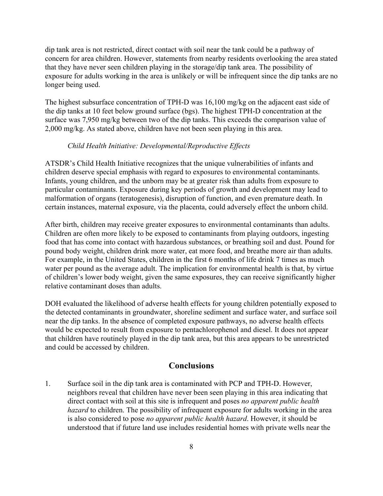dip tank area is not restricted, direct contact with soil near the tank could be a pathway of concern for area children. However, statements from nearby residents overlooking the area stated that they have never seen children playing in the storage/dip tank area. The possibility of exposure for adults working in the area is unlikely or will be infrequent since the dip tanks are no longer being used.

The highest subsurface concentration of TPH-D was 16,100 mg/kg on the adjacent east side of the dip tanks at 10 feet below ground surface (bgs). The highest TPH-D concentration at the surface was 7,950 mg/kg between two of the dip tanks. This exceeds the comparison value of 2,000 mg/kg. As stated above, children have not been seen playing in this area.

#### *Child Health Initiative: Developmental/Reproductive Effects*

ATSDR's Child Health Initiative recognizes that the unique vulnerabilities of infants and children deserve special emphasis with regard to exposures to environmental contaminants. Infants, young children, and the unborn may be at greater risk than adults from exposure to particular contaminants. Exposure during key periods of growth and development may lead to malformation of organs (teratogenesis), disruption of function, and even premature death. In certain instances, maternal exposure, via the placenta, could adversely effect the unborn child.

After birth, children may receive greater exposures to environmental contaminants than adults. Children are often more likely to be exposed to contaminants from playing outdoors, ingesting food that has come into contact with hazardous substances, or breathing soil and dust. Pound for pound body weight, children drink more water, eat more food, and breathe more air than adults. For example, in the United States, children in the first 6 months of life drink 7 times as much water per pound as the average adult. The implication for environmental health is that, by virtue of children's lower body weight, given the same exposures, they can receive significantly higher relative contaminant doses than adults.

DOH evaluated the likelihood of adverse health effects for young children potentially exposed to the detected contaminants in groundwater, shoreline sediment and surface water, and surface soil near the dip tanks. In the absence of completed exposure pathways, no adverse health effects would be expected to result from exposure to pentachlorophenol and diesel. It does not appear that children have routinely played in the dip tank area, but this area appears to be unrestricted and could be accessed by children.

#### **Conclusions**

1. Surface soil in the dip tank area is contaminated with PCP and TPH-D. However, neighbors reveal that children have never been seen playing in this area indicating that direct contact with soil at this site is infrequent and poses *no apparent public health hazard* to children. The possibility of infrequent exposure for adults working in the area is also considered to pose *no apparent public health hazard*. However, it should be understood that if future land use includes residential homes with private wells near the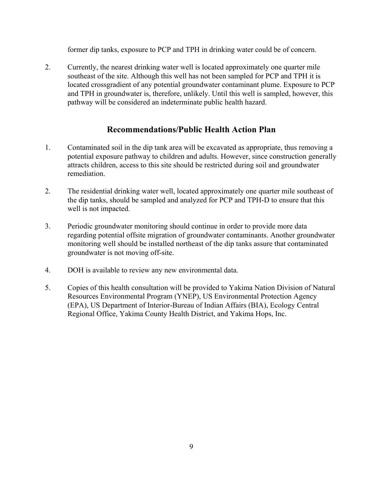former dip tanks, exposure to PCP and TPH in drinking water could be of concern.

2. Currently, the nearest drinking water well is located approximately one quarter mile southeast of the site. Although this well has not been sampled for PCP and TPH it is located crossgradient of any potential groundwater contaminant plume. Exposure to PCP and TPH in groundwater is, therefore, unlikely. Until this well is sampled, however, this pathway will be considered an indeterminate public health hazard.

### **Recommendations/Public Health Action Plan**

- 1. Contaminated soil in the dip tank area will be excavated as appropriate, thus removing a potential exposure pathway to children and adults. However, since construction generally attracts children, access to this site should be restricted during soil and groundwater remediation.
- 2. The residential drinking water well, located approximately one quarter mile southeast of the dip tanks, should be sampled and analyzed for PCP and TPH-D to ensure that this well is not impacted.
- 3. Periodic groundwater monitoring should continue in order to provide more data regarding potential offsite migration of groundwater contaminants. Another groundwater monitoring well should be installed northeast of the dip tanks assure that contaminated groundwater is not moving off-site.
- 4. DOH is available to review any new environmental data.
- 5. Copies of this health consultation will be provided to Yakima Nation Division of Natural Resources Environmental Program (YNEP), US Environmental Protection Agency (EPA), US Department of Interior-Bureau of Indian Affairs (BIA), Ecology Central Regional Office, Yakima County Health District, and Yakima Hops, Inc.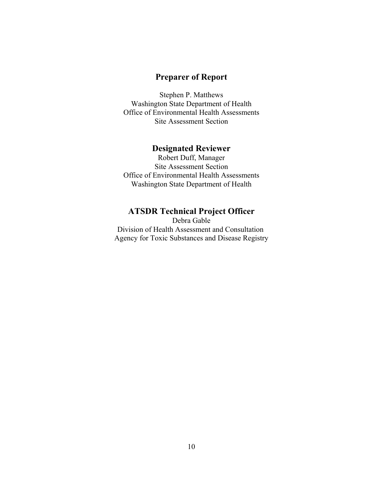## **Preparer of Report**

Stephen P. Matthews Washington State Department of Health Office of Environmental Health Assessments Site Assessment Section

#### **Designated Reviewer**

Robert Duff, Manager Site Assessment Section Office of Environmental Health Assessments Washington State Department of Health

## **ATSDR Technical Project Officer**

Debra Gable Division of Health Assessment and Consultation Agency for Toxic Substances and Disease Registry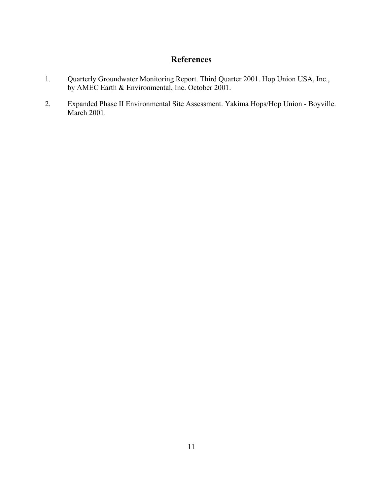## **References**

- 1. Quarterly Groundwater Monitoring Report. Third Quarter 2001. Hop Union USA, Inc., by AMEC Earth & Environmental, Inc. October 2001.
- 2. Expanded Phase II Environmental Site Assessment. Yakima Hops/Hop Union Boyville. March 2001.